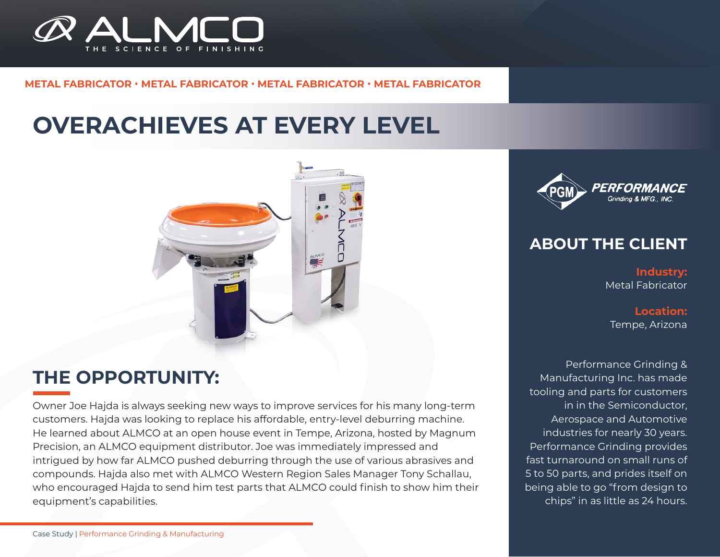

### **METAL FABRICATOR** • **METAL FABRICATOR** • **METAL FABRICATOR** • **METAL FABRICATOR**

# **OVERACHIEVES AT EVERY LEVEL**



### **THE OPPORTUNITY:**

Owner Joe Hajda is always seeking new ways to improve services for his many long-term customers. Hajda was looking to replace his affordable, entry-level deburring machine. He learned about ALMCO at an open house event in Tempe, Arizona, hosted by Magnum Precision, an ALMCO equipment distributor. Joe was immediately impressed and intrigued by how far ALMCO pushed deburring through the use of various abrasives and compounds. Hajda also met with ALMCO Western Region Sales Manager Tony Schallau, who encouraged Hajda to send him test parts that ALMCO could finish to show him their equipment's capabilities.



### **ABOUT THE CLIENT**

**Industry:** Metal Fabricator

**Location:** Tempe, Arizona

Performance Grinding & Manufacturing Inc. has made tooling and parts for customers in in the Semiconductor, Aerospace and Automotive industries for nearly 30 years. Performance Grinding provides fast turnaround on small runs of 5 to 50 parts, and prides itself on being able to go "from design to chips" in as little as 24 hours.